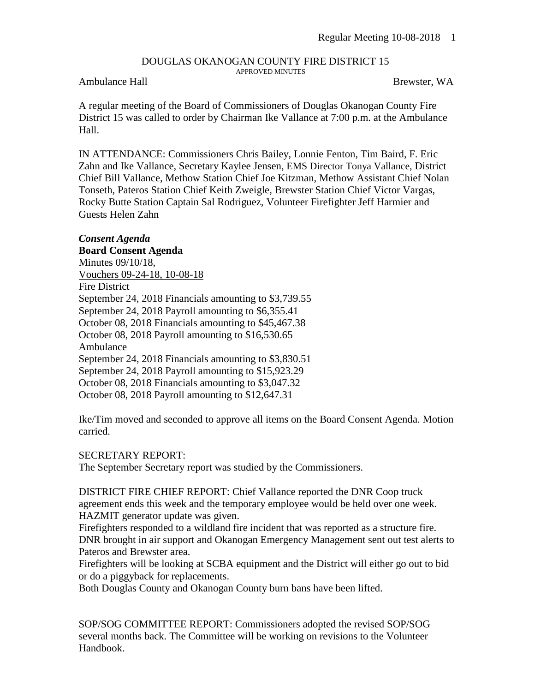#### DOUGLAS OKANOGAN COUNTY FIRE DISTRICT 15 APPROVED MINUTES

## Ambulance Hall Brewster, WA

A regular meeting of the Board of Commissioners of Douglas Okanogan County Fire District 15 was called to order by Chairman Ike Vallance at 7:00 p.m. at the Ambulance Hall.

IN ATTENDANCE: Commissioners Chris Bailey, Lonnie Fenton, Tim Baird, F. Eric Zahn and Ike Vallance, Secretary Kaylee Jensen, EMS Director Tonya Vallance, District Chief Bill Vallance, Methow Station Chief Joe Kitzman, Methow Assistant Chief Nolan Tonseth, Pateros Station Chief Keith Zweigle, Brewster Station Chief Victor Vargas, Rocky Butte Station Captain Sal Rodriguez, Volunteer Firefighter Jeff Harmier and Guests Helen Zahn

### *Consent Agenda*

#### **Board Consent Agenda**

Minutes 09/10/18, Vouchers 09-24-18, 10-08-18 Fire District September 24, 2018 Financials amounting to \$3,739.55 September 24, 2018 Payroll amounting to \$6,355.41 October 08, 2018 Financials amounting to \$45,467.38 October 08, 2018 Payroll amounting to \$16,530.65 Ambulance September 24, 2018 Financials amounting to \$3,830.51 September 24, 2018 Payroll amounting to \$15,923.29 October 08, 2018 Financials amounting to \$3,047.32 October 08, 2018 Payroll amounting to \$12,647.31

Ike/Tim moved and seconded to approve all items on the Board Consent Agenda. Motion carried.

#### SECRETARY REPORT:

The September Secretary report was studied by the Commissioners.

DISTRICT FIRE CHIEF REPORT: Chief Vallance reported the DNR Coop truck agreement ends this week and the temporary employee would be held over one week. HAZMIT generator update was given.

Firefighters responded to a wildland fire incident that was reported as a structure fire. DNR brought in air support and Okanogan Emergency Management sent out test alerts to Pateros and Brewster area.

Firefighters will be looking at SCBA equipment and the District will either go out to bid or do a piggyback for replacements.

Both Douglas County and Okanogan County burn bans have been lifted.

SOP/SOG COMMITTEE REPORT: Commissioners adopted the revised SOP/SOG several months back. The Committee will be working on revisions to the Volunteer Handbook.